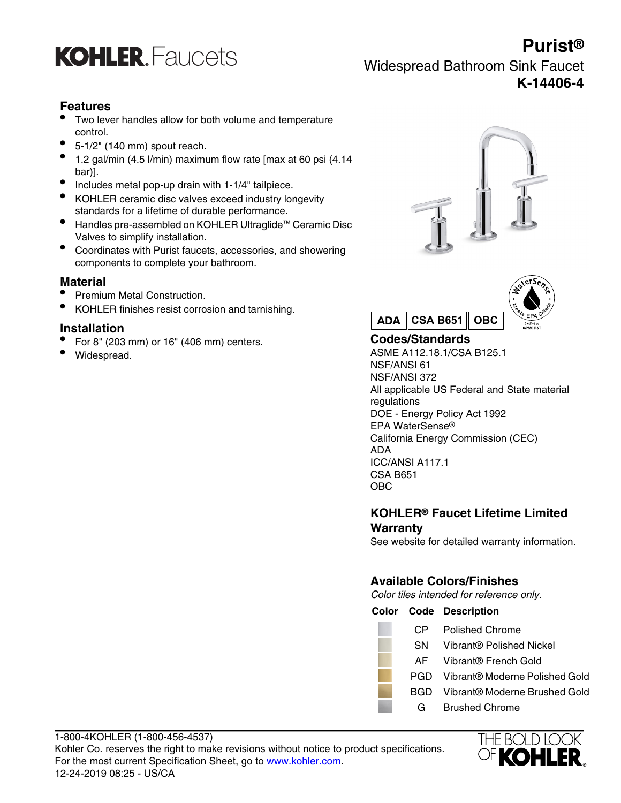

**Purist®** Widespread Bathroom Sink Faucet **K-14406-4**

## **Features**

- Two lever handles allow for both volume and temperature control.
- 5-1/2" (140 mm) spout reach.
- 1.2 gal/min (4.5 l/min) maximum flow rate [max at 60 psi (4.14 bar)].
- Includes metal pop-up drain with 1-1/4" tailpiece.
- KOHLER ceramic disc valves exceed industry longevity standards for a lifetime of durable performance.
- Handles pre-assembled on KOHLER Ultraglide™ Ceramic Disc Valves to simplify installation.
- Coordinates with Purist faucets, accessories, and showering components to complete your bathroom.

## **Material**

- Premium Metal Construction.
- KOHLER finishes resist corrosion and tarnishing.

## **Installation**

- For 8" (203 mm) or 16" (406 mm) centers. **Codes/Standards**
- 





• Widespread. ASME A112.18.1/CSA B125.1 NSF/ANSI 61 NSF/ANSI 372 All applicable US Federal and State material regulations DOE - Energy Policy Act 1992 EPA WaterSense® California Energy Commission (CEC) ADA ICC/ANSI A117.1 CSA B651 OBC

## **KOHLER® Faucet Lifetime Limited Warranty**

See website for detailed warranty information.

## **Available Colors/Finishes**

Color tiles intended for reference only.

## **Color Code Description**

- CP Polished Chrome
- SN Vibrant® Polished Nickel
- AF Vibrant® French Gold
- PGD Vibrant® Moderne Polished Gold
- BGD Vibrant® Moderne Brushed Gold
	- G Brushed Chrome